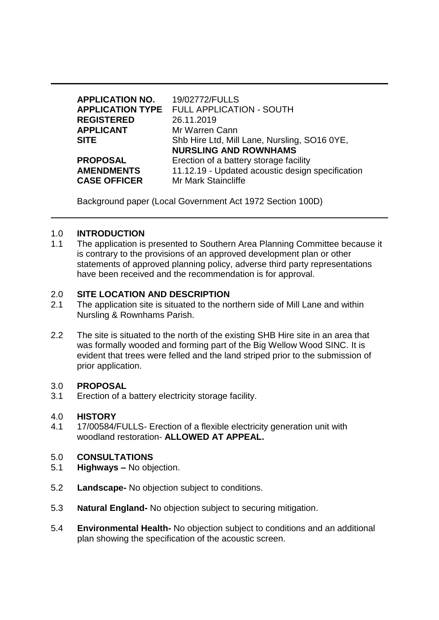| <b>APPLICATION NO.</b><br><b>REGISTERED</b><br><b>APPLICANT</b><br><b>SITE</b> | 19/02772/FULLS<br><b>APPLICATION TYPE FULL APPLICATION - SOUTH</b><br>26.11.2019<br>Mr Warren Cann<br>Shb Hire Ltd, Mill Lane, Nursling, SO16 0YE,<br><b>NURSLING AND ROWNHAMS</b> |
|--------------------------------------------------------------------------------|------------------------------------------------------------------------------------------------------------------------------------------------------------------------------------|
| <b>PROPOSAL</b>                                                                | Erection of a battery storage facility                                                                                                                                             |
| <b>AMENDMENTS</b>                                                              | 11.12.19 - Updated acoustic design specification                                                                                                                                   |
| <b>CASE OFFICER</b>                                                            | Mr Mark Staincliffe                                                                                                                                                                |

Background paper (Local Government Act 1972 Section 100D)

#### 1.0 **INTRODUCTION**

1.1 The application is presented to Southern Area Planning Committee because it is contrary to the provisions of an approved development plan or other statements of approved planning policy, adverse third party representations have been received and the recommendation is for approval.

### 2.0 **SITE LOCATION AND DESCRIPTION**

- 2.1 The application site is situated to the northern side of Mill Lane and within Nursling & Rownhams Parish.
- 2.2 The site is situated to the north of the existing SHB Hire site in an area that was formally wooded and forming part of the Big Wellow Wood SINC. It is evident that trees were felled and the land striped prior to the submission of prior application.

#### 3.0 **PROPOSAL**

3.1 Erection of a battery electricity storage facility.

#### 4.0 **HISTORY**

4.1 17/00584/FULLS- Erection of a flexible electricity generation unit with woodland restoration- **ALLOWED AT APPEAL.**

### 5.0 **CONSULTATIONS**

- 5.1 **Highways –** No objection.
- 5.2 **Landscape-** No objection subject to conditions.
- 5.3 **Natural England-** No objection subject to securing mitigation.
- 5.4 **Environmental Health-** No objection subject to conditions and an additional plan showing the specification of the acoustic screen.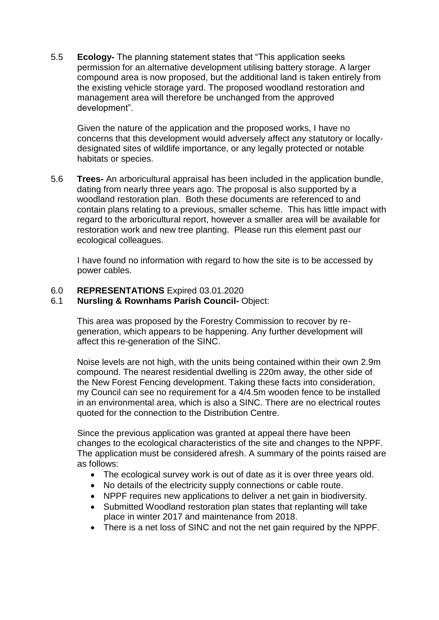5.5 **Ecology-** The planning statement states that "This application seeks permission for an alternative development utilising battery storage. A larger compound area is now proposed, but the additional land is taken entirely from the existing vehicle storage yard. The proposed woodland restoration and management area will therefore be unchanged from the approved development".

Given the nature of the application and the proposed works, I have no concerns that this development would adversely affect any statutory or locallydesignated sites of wildlife importance, or any legally protected or notable habitats or species.

5.6 **Trees-** An arboricultural appraisal has been included in the application bundle, dating from nearly three years ago. The proposal is also supported by a woodland restoration plan. Both these documents are referenced to and contain plans relating to a previous, smaller scheme. This has little impact with regard to the arboricultural report, however a smaller area will be available for restoration work and new tree planting. Please run this element past our ecological colleagues.

I have found no information with regard to how the site is to be accessed by power cables.

## 6.0 **REPRESENTATIONS** Expired 03.01.2020

### 6.1 **Nursling & Rownhams Parish Council-** Object:

This area was proposed by the Forestry Commission to recover by regeneration, which appears to be happening. Any further development will affect this re-generation of the SINC.

Noise levels are not high, with the units being contained within their own 2.9m compound. The nearest residential dwelling is 220m away, the other side of the New Forest Fencing development. Taking these facts into consideration, my Council can see no requirement for a 4/4.5m wooden fence to be installed in an environmental area, which is also a SINC. There are no electrical routes quoted for the connection to the Distribution Centre.

Since the previous application was granted at appeal there have been changes to the ecological characteristics of the site and changes to the NPPF. The application must be considered afresh. A summary of the points raised are as follows:

- The ecological survey work is out of date as it is over three years old.
- No details of the electricity supply connections or cable route.
- NPPF requires new applications to deliver a net gain in biodiversity.
- Submitted Woodland restoration plan states that replanting will take place in winter 2017 and maintenance from 2018.
- There is a net loss of SINC and not the net gain required by the NPPF.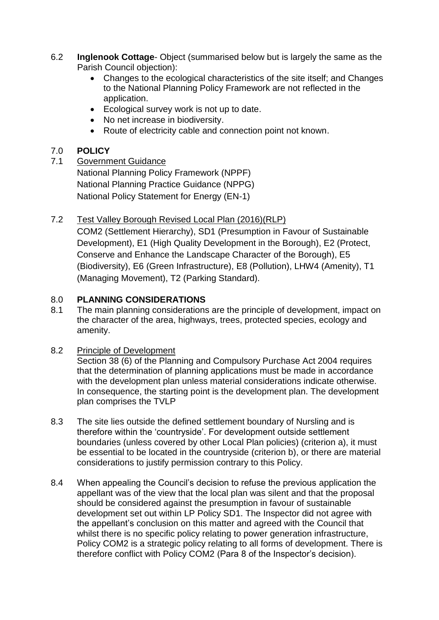- 6.2 **Inglenook Cottage** Object (summarised below but is largely the same as the Parish Council objection):
	- Changes to the ecological characteristics of the site itself: and Changes to the National Planning Policy Framework are not reflected in the application.
	- Ecological survey work is not up to date.
	- No net increase in biodiversity.
	- Route of electricity cable and connection point not known.

# 7.0 **POLICY**

- 7.1 Government Guidance
	- National Planning Policy Framework (NPPF) National Planning Practice Guidance (NPPG) National Policy Statement for Energy (EN-1)

# 7.2 Test Valley Borough Revised Local Plan (2016)(RLP)

COM2 (Settlement Hierarchy), SD1 (Presumption in Favour of Sustainable Development), E1 (High Quality Development in the Borough), E2 (Protect, Conserve and Enhance the Landscape Character of the Borough), E5 (Biodiversity), E6 (Green Infrastructure), E8 (Pollution), LHW4 (Amenity), T1 (Managing Movement), T2 (Parking Standard).

# 8.0 **PLANNING CONSIDERATIONS**

8.1 The main planning considerations are the principle of development, impact on the character of the area, highways, trees, protected species, ecology and amenity.

# 8.2 Principle of Development

Section 38 (6) of the Planning and Compulsory Purchase Act 2004 requires that the determination of planning applications must be made in accordance with the development plan unless material considerations indicate otherwise. In consequence, the starting point is the development plan. The development plan comprises the TVLP

- 8.3 The site lies outside the defined settlement boundary of Nursling and is therefore within the 'countryside'. For development outside settlement boundaries (unless covered by other Local Plan policies) (criterion a), it must be essential to be located in the countryside (criterion b), or there are material considerations to justify permission contrary to this Policy.
- 8.4 When appealing the Council's decision to refuse the previous application the appellant was of the view that the local plan was silent and that the proposal should be considered against the presumption in favour of sustainable development set out within LP Policy SD1. The Inspector did not agree with the appellant's conclusion on this matter and agreed with the Council that whilst there is no specific policy relating to power generation infrastructure, Policy COM2 is a strategic policy relating to all forms of development. There is therefore conflict with Policy COM2 (Para 8 of the Inspector's decision).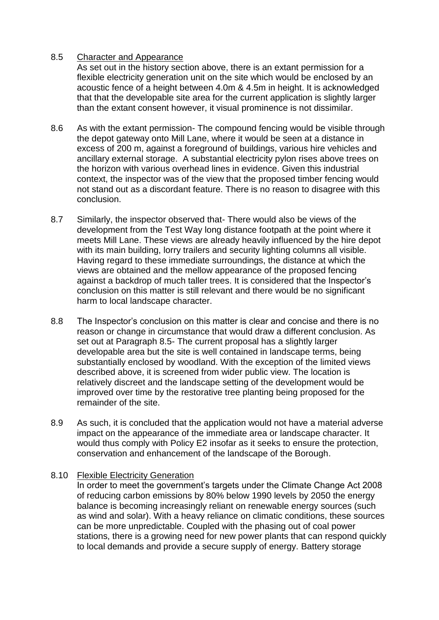## 8.5 Character and Appearance

As set out in the history section above, there is an extant permission for a flexible electricity generation unit on the site which would be enclosed by an acoustic fence of a height between 4.0m & 4.5m in height. It is acknowledged that that the developable site area for the current application is slightly larger than the extant consent however, it visual prominence is not dissimilar.

- 8.6 As with the extant permission- The compound fencing would be visible through the depot gateway onto Mill Lane, where it would be seen at a distance in excess of 200 m, against a foreground of buildings, various hire vehicles and ancillary external storage. A substantial electricity pylon rises above trees on the horizon with various overhead lines in evidence. Given this industrial context, the inspector was of the view that the proposed timber fencing would not stand out as a discordant feature. There is no reason to disagree with this conclusion.
- 8.7 Similarly, the inspector observed that- There would also be views of the development from the Test Way long distance footpath at the point where it meets Mill Lane. These views are already heavily influenced by the hire depot with its main building, lorry trailers and security lighting columns all visible. Having regard to these immediate surroundings, the distance at which the views are obtained and the mellow appearance of the proposed fencing against a backdrop of much taller trees. It is considered that the Inspector's conclusion on this matter is still relevant and there would be no significant harm to local landscape character.
- 8.8 The Inspector's conclusion on this matter is clear and concise and there is no reason or change in circumstance that would draw a different conclusion. As set out at Paragraph 8.5- The current proposal has a slightly larger developable area but the site is well contained in landscape terms, being substantially enclosed by woodland. With the exception of the limited views described above, it is screened from wider public view. The location is relatively discreet and the landscape setting of the development would be improved over time by the restorative tree planting being proposed for the remainder of the site.
- 8.9 As such, it is concluded that the application would not have a material adverse impact on the appearance of the immediate area or landscape character. It would thus comply with Policy E2 insofar as it seeks to ensure the protection, conservation and enhancement of the landscape of the Borough.

### 8.10 Flexible Electricity Generation

In order to meet the government's targets under the Climate Change Act 2008 of reducing carbon emissions by 80% below 1990 levels by 2050 the energy balance is becoming increasingly reliant on renewable energy sources (such as wind and solar). With a heavy reliance on climatic conditions, these sources can be more unpredictable. Coupled with the phasing out of coal power stations, there is a growing need for new power plants that can respond quickly to local demands and provide a secure supply of energy. Battery storage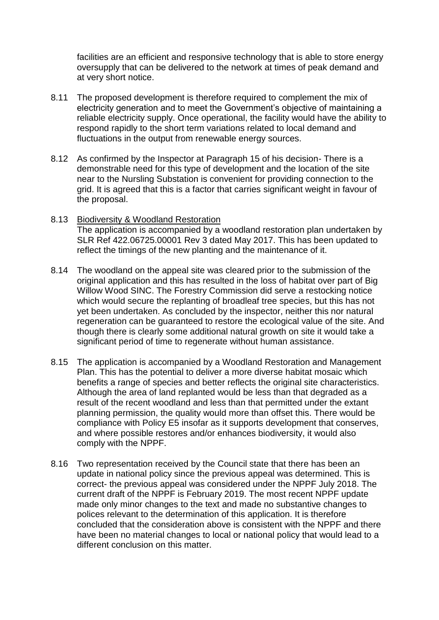facilities are an efficient and responsive technology that is able to store energy oversupply that can be delivered to the network at times of peak demand and at very short notice.

- 8.11 The proposed development is therefore required to complement the mix of electricity generation and to meet the Government's objective of maintaining a reliable electricity supply. Once operational, the facility would have the ability to respond rapidly to the short term variations related to local demand and fluctuations in the output from renewable energy sources.
- 8.12 As confirmed by the Inspector at Paragraph 15 of his decision- There is a demonstrable need for this type of development and the location of the site near to the Nursling Substation is convenient for providing connection to the grid. It is agreed that this is a factor that carries significant weight in favour of the proposal.
- 8.13 Biodiversity & Woodland Restoration The application is accompanied by a woodland restoration plan undertaken by SLR Ref 422.06725.00001 Rev 3 dated May 2017. This has been updated to reflect the timings of the new planting and the maintenance of it.
- 8.14 The woodland on the appeal site was cleared prior to the submission of the original application and this has resulted in the loss of habitat over part of Big Willow Wood SINC. The Forestry Commission did serve a restocking notice which would secure the replanting of broadleaf tree species, but this has not yet been undertaken. As concluded by the inspector, neither this nor natural regeneration can be guaranteed to restore the ecological value of the site. And though there is clearly some additional natural growth on site it would take a significant period of time to regenerate without human assistance.
- 8.15 The application is accompanied by a Woodland Restoration and Management Plan. This has the potential to deliver a more diverse habitat mosaic which benefits a range of species and better reflects the original site characteristics. Although the area of land replanted would be less than that degraded as a result of the recent woodland and less than that permitted under the extant planning permission, the quality would more than offset this. There would be compliance with Policy E5 insofar as it supports development that conserves, and where possible restores and/or enhances biodiversity, it would also comply with the NPPF.
- 8.16 Two representation received by the Council state that there has been an update in national policy since the previous appeal was determined. This is correct- the previous appeal was considered under the NPPF July 2018. The current draft of the NPPF is February 2019. The most recent NPPF update made only minor changes to the text and made no substantive changes to polices relevant to the determination of this application. It is therefore concluded that the consideration above is consistent with the NPPF and there have been no material changes to local or national policy that would lead to a different conclusion on this matter.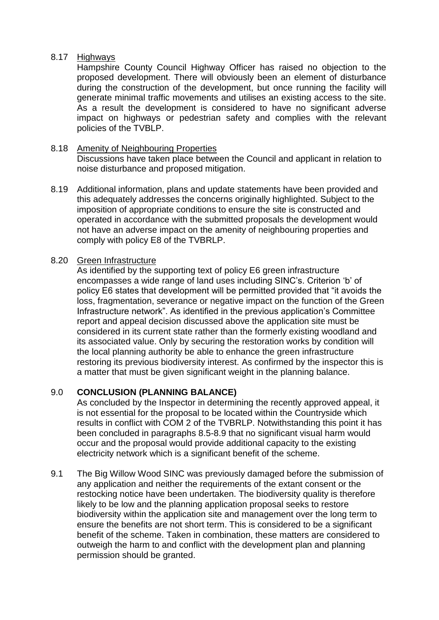## 8.17 Highways

Hampshire County Council Highway Officer has raised no objection to the proposed development. There will obviously been an element of disturbance during the construction of the development, but once running the facility will generate minimal traffic movements and utilises an existing access to the site. As a result the development is considered to have no significant adverse impact on highways or pedestrian safety and complies with the relevant policies of the TVBLP.

## 8.18 Amenity of Neighbouring Properties

Discussions have taken place between the Council and applicant in relation to noise disturbance and proposed mitigation.

8.19 Additional information, plans and update statements have been provided and this adequately addresses the concerns originally highlighted. Subject to the imposition of appropriate conditions to ensure the site is constructed and operated in accordance with the submitted proposals the development would not have an adverse impact on the amenity of neighbouring properties and comply with policy E8 of the TVBRLP.

### 8.20 Green Infrastructure

As identified by the supporting text of policy E6 green infrastructure encompasses a wide range of land uses including SINC's. Criterion 'b' of policy E6 states that development will be permitted provided that "it avoids the loss, fragmentation, severance or negative impact on the function of the Green Infrastructure network". As identified in the previous application's Committee report and appeal decision discussed above the application site must be considered in its current state rather than the formerly existing woodland and its associated value. Only by securing the restoration works by condition will the local planning authority be able to enhance the green infrastructure restoring its previous biodiversity interest. As confirmed by the inspector this is a matter that must be given significant weight in the planning balance.

# 9.0 **CONCLUSION (PLANNING BALANCE)**

As concluded by the Inspector in determining the recently approved appeal, it is not essential for the proposal to be located within the Countryside which results in conflict with COM 2 of the TVBRLP. Notwithstanding this point it has been concluded in paragraphs 8.5-8.9 that no significant visual harm would occur and the proposal would provide additional capacity to the existing electricity network which is a significant benefit of the scheme.

9.1 The Big Willow Wood SINC was previously damaged before the submission of any application and neither the requirements of the extant consent or the restocking notice have been undertaken. The biodiversity quality is therefore likely to be low and the planning application proposal seeks to restore biodiversity within the application site and management over the long term to ensure the benefits are not short term. This is considered to be a significant benefit of the scheme. Taken in combination, these matters are considered to outweigh the harm to and conflict with the development plan and planning permission should be granted.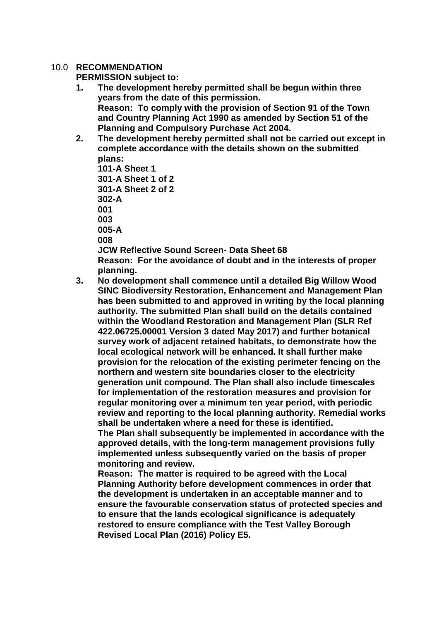### 10.0 **RECOMMENDATION**

**PERMISSION subject to:**

- **1. The development hereby permitted shall be begun within three years from the date of this permission. Reason: To comply with the provision of Section 91 of the Town and Country Planning Act 1990 as amended by Section 51 of the Planning and Compulsory Purchase Act 2004.**
- **2. The development hereby permitted shall not be carried out except in complete accordance with the details shown on the submitted plans:**

```
101-A Sheet 1
301-A Sheet 1 of 2
301-A Sheet 2 of 2
302-A
001
003
005-A
008
JCW Reflective Sound Screen- Data Sheet 68
```
**Reason: For the avoidance of doubt and in the interests of proper planning.**

**3. No development shall commence until a detailed Big Willow Wood SINC Biodiversity Restoration, Enhancement and Management Plan has been submitted to and approved in writing by the local planning authority. The submitted Plan shall build on the details contained within the Woodland Restoration and Management Plan (SLR Ref 422.06725.00001 Version 3 dated May 2017) and further botanical survey work of adjacent retained habitats, to demonstrate how the local ecological network will be enhanced. It shall further make provision for the relocation of the existing perimeter fencing on the northern and western site boundaries closer to the electricity generation unit compound. The Plan shall also include timescales for implementation of the restoration measures and provision for regular monitoring over a minimum ten year period, with periodic review and reporting to the local planning authority. Remedial works shall be undertaken where a need for these is identified. The Plan shall subsequently be implemented in accordance with the** 

**approved details, with the long-term management provisions fully implemented unless subsequently varied on the basis of proper monitoring and review.**

**Reason: The matter is required to be agreed with the Local Planning Authority before development commences in order that the development is undertaken in an acceptable manner and to ensure the favourable conservation status of protected species and to ensure that the lands ecological significance is adequately restored to ensure compliance with the Test Valley Borough Revised Local Plan (2016) Policy E5.**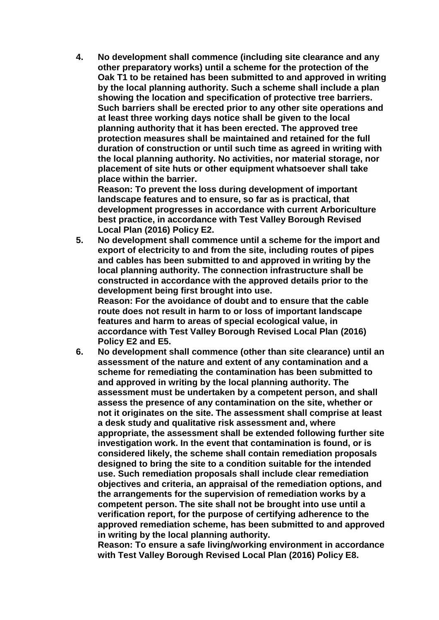**4. No development shall commence (including site clearance and any other preparatory works) until a scheme for the protection of the Oak T1 to be retained has been submitted to and approved in writing by the local planning authority. Such a scheme shall include a plan showing the location and specification of protective tree barriers. Such barriers shall be erected prior to any other site operations and at least three working days notice shall be given to the local planning authority that it has been erected. The approved tree protection measures shall be maintained and retained for the full duration of construction or until such time as agreed in writing with the local planning authority. No activities, nor material storage, nor placement of site huts or other equipment whatsoever shall take place within the barrier.**

**Reason: To prevent the loss during development of important landscape features and to ensure, so far as is practical, that development progresses in accordance with current Arboriculture best practice, in accordance with Test Valley Borough Revised Local Plan (2016) Policy E2.**

**5. No development shall commence until a scheme for the import and export of electricity to and from the site, including routes of pipes and cables has been submitted to and approved in writing by the local planning authority. The connection infrastructure shall be constructed in accordance with the approved details prior to the development being first brought into use.**

**Reason: For the avoidance of doubt and to ensure that the cable route does not result in harm to or loss of important landscape features and harm to areas of special ecological value, in accordance with Test Valley Borough Revised Local Plan (2016) Policy E2 and E5.**

**6. No development shall commence (other than site clearance) until an assessment of the nature and extent of any contamination and a scheme for remediating the contamination has been submitted to and approved in writing by the local planning authority. The assessment must be undertaken by a competent person, and shall assess the presence of any contamination on the site, whether or not it originates on the site. The assessment shall comprise at least a desk study and qualitative risk assessment and, where appropriate, the assessment shall be extended following further site investigation work. In the event that contamination is found, or is considered likely, the scheme shall contain remediation proposals designed to bring the site to a condition suitable for the intended use. Such remediation proposals shall include clear remediation objectives and criteria, an appraisal of the remediation options, and the arrangements for the supervision of remediation works by a competent person. The site shall not be brought into use until a verification report, for the purpose of certifying adherence to the approved remediation scheme, has been submitted to and approved in writing by the local planning authority.**

**Reason: To ensure a safe living/working environment in accordance with Test Valley Borough Revised Local Plan (2016) Policy E8.**